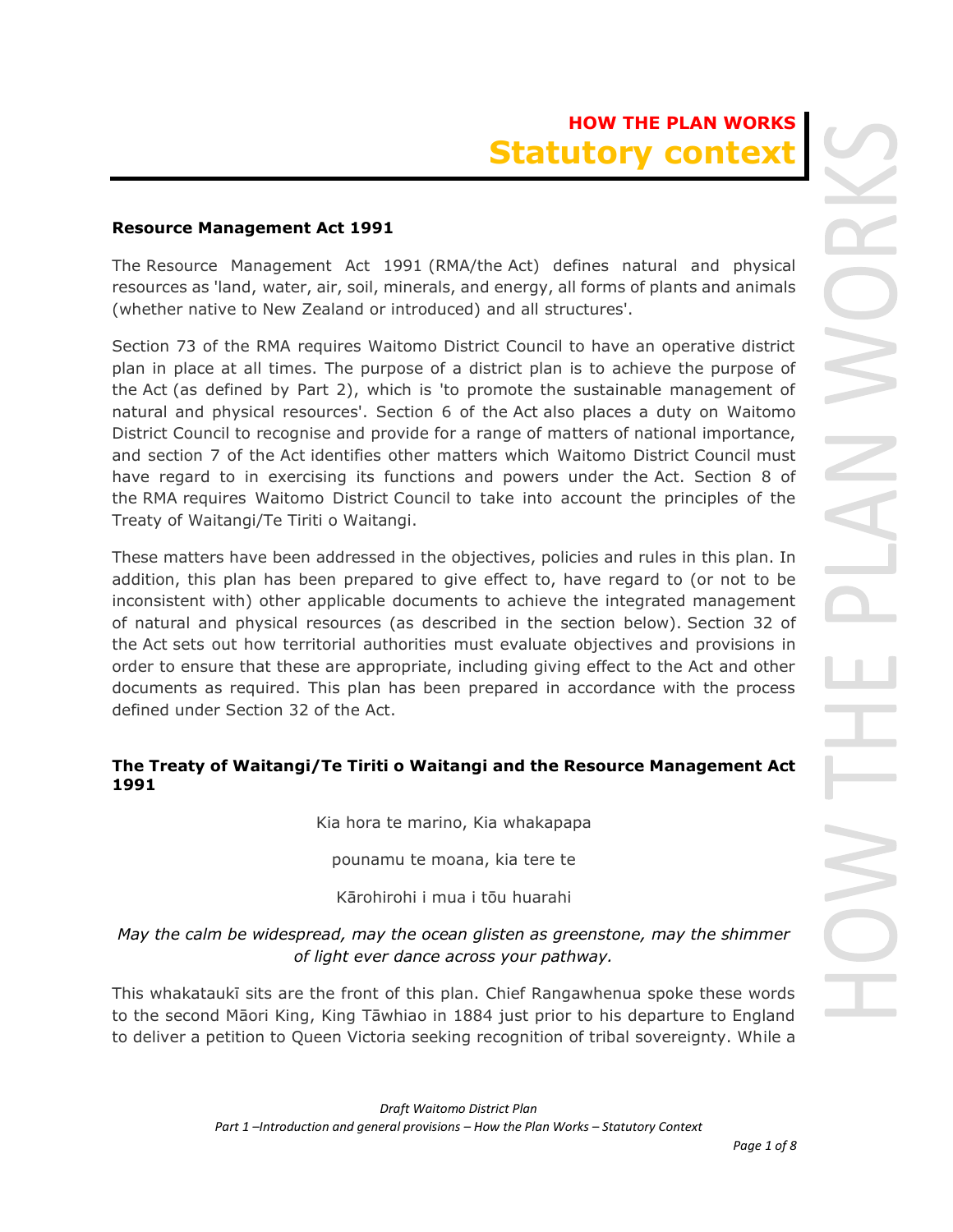# **HOW THE PLAN WORKS Statutory contex**

#### **Resource Management Act 1991**

The Resource Management Act 1991 (RMA/the Act) defines natural and physical resources as 'land, water, air, soil, minerals, and energy, all forms of plants and animals (whether native to New Zealand or introduced) and all structures'.

Section 73 of the RMA requires Waitomo District Council to have an operative district plan in place at all times. The purpose of a district plan is to achieve the purpose of the Act (as defined by Part 2), which is 'to promote the sustainable management of natural and physical resources'. Section 6 of the Act also places a duty on Waitomo District Council to recognise and provide for a range of matters of national importance, and section 7 of the Act identifies other matters which Waitomo District Council must have regard to in exercising its functions and powers under the Act. Section 8 of the RMA requires Waitomo District Council to take into account the principles of the Treaty of Waitangi/Te Tiriti o Waitangi.

These matters have been addressed in the objectives, policies and rules in this plan. In addition, this plan has been prepared to give effect to, have regard to (or not to be inconsistent with) other applicable documents to achieve the integrated management of natural and physical resources (as described in the section below). Section 32 of the Act sets out how territorial authorities must evaluate objectives and provisions in order to ensure that these are appropriate, including giving effect to the Act and other documents as required. This plan has been prepared in accordance with the process defined under Section 32 of the Act.

## **The Treaty of Waitangi/Te Tiriti o Waitangi and the Resource Management Act 1991**

Kia hora te marino, Kia whakapapa

pounamu te moana, kia tere te

Kārohirohi i mua i tōu huarahi

## *May the calm be widespread, may the ocean glisten as greenstone, may the shimmer of light ever dance across your pathway.*

This whakataukī sits are the front of this plan. Chief Rangawhenua spoke these words to the second Māori King, King Tāwhiao in 1884 just prior to his departure to England to deliver a petition to Queen Victoria seeking recognition of tribal sovereignty. While a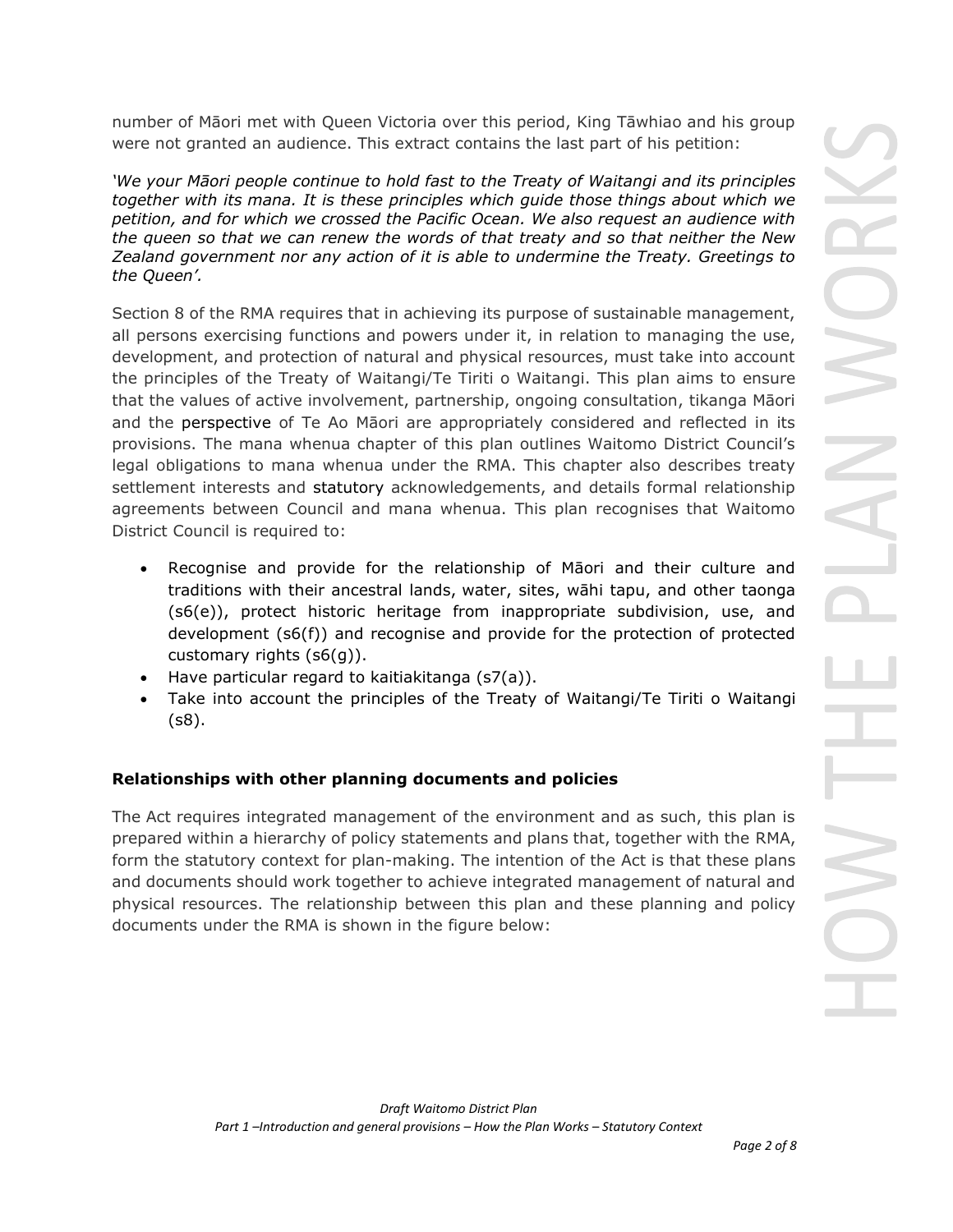number of Māori met with Queen Victoria over this period, King Tāwhiao and his group were not granted an audience. This extract contains the last part of his petition:

*'We your Māori people continue to hold fast to the Treaty of Waitangi and its principles together with its [mana.](https://us-east-2.protection.sophos.com/?d=teara.govt.nz&u=aHR0cHM6Ly90ZWFyYS5nb3Z0Lm56L2VuL2dsb3NzYXJ5I21hbmE=&e=Y2F0aHkubydjYWxsYWdoYW5Ad2FpdG9tby5nb3Z0Lm56&h=8e7b21f1bc5f490eb613a8334c0963b8&t=dXZ1T1Urc1Q5T0oxMUFHOEFVQ2VwdEpXS2RDUFBnUkV0a3dSZWx1c1dwMD0=) It is these principles which guide those things about which we petition, and for which we crossed the Pacific Ocean. We also request an audience with the queen so that we can renew the words of that treaty and so that neither the New Zealand government nor any action of it is able to undermine the Treaty. Greetings to the Queen'.*

Section 8 of the RMA requires that in achieving its purpose of sustainable management, all persons exercising functions and powers under it, in relation to managing the use, development, and protection of natural and physical resources, must take into account the principles of the Treaty of Waitangi/Te Tiriti o Waitangi. This plan aims to ensure that the values of active involvement, partnership, ongoing consultation, tikanga Māori and the perspective of Te Ao Māori are appropriately considered and reflected in its provisions. The mana whenua chapter of this plan outlines Waitomo District Council's legal obligations to mana whenua under the RMA. This chapter also describes treaty settlement interests and statutory acknowledgements, and details formal relationship agreements between Council and mana whenua. This plan recognises that Waitomo District Council is required to:

- Recognise and provide for the relationship of Māori and their culture and traditions with their ancestral lands, water, sites, wāhi tapu, and other taonga (s6(e)), protect historic heritage from inappropriate subdivision, use, and development (s6(f)) and recognise and provide for the protection of protected customary rights (s6(g)).
- Have particular regard to kaitiakitanga (s7(a)).
- Take into account the principles of the Treaty of Waitangi/Te Tiriti o Waitangi (s8).

## **Relationships with other planning documents and policies**

The Act requires integrated management of the environment and as such, this plan is prepared within a hierarchy of policy statements and plans that, together with the RMA, form the statutory context for plan-making. The intention of the Act is that these plans and documents should work together to achieve integrated management of natural and physical resources. The relationship between this plan and these planning and policy documents under the RMA is shown in the figure below: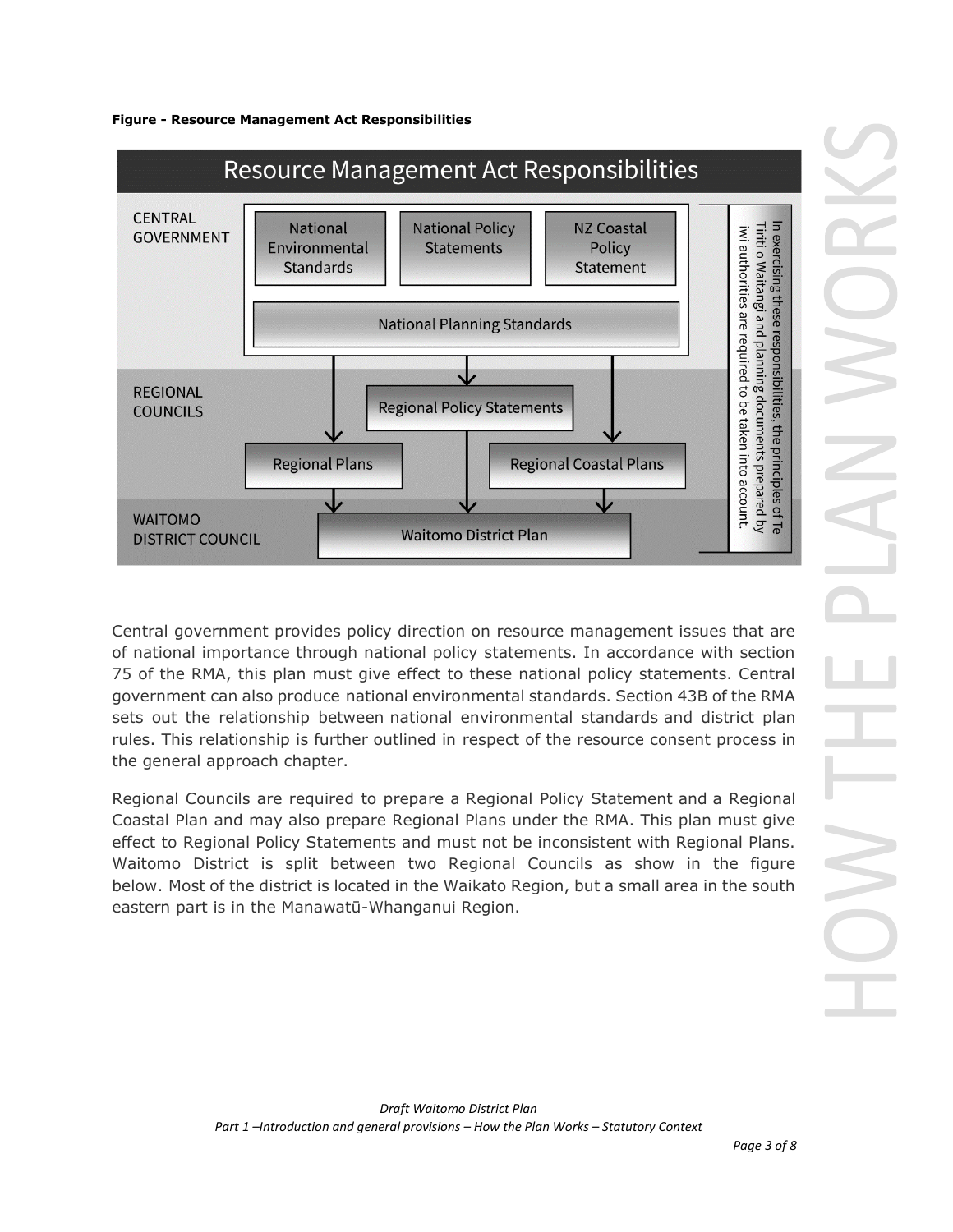



Central government provides policy direction on resource management issues that are of national importance through national policy statements. In accordance with section 75 of the RMA, this plan must give effect to these national policy statements. Central government can also produce national environmental standards. Section 43B of the RMA sets out the relationship between national environmental standards and district plan rules. This relationship is further outlined in respect of the resource consent process in the [general approach](javascript:void(0)) chapter.

Regional Councils are required to prepare a Regional Policy Statement and a Regional Coastal Plan and may also prepare Regional Plans under the RMA. This plan must give effect to Regional Policy Statements and must not be inconsistent with Regional Plans. Waitomo District is split between two Regional Councils as show in the figure below. Most of the district is located in the Waikato Region, but a small area in the south eastern part is in the Manawatū-Whanganui Region.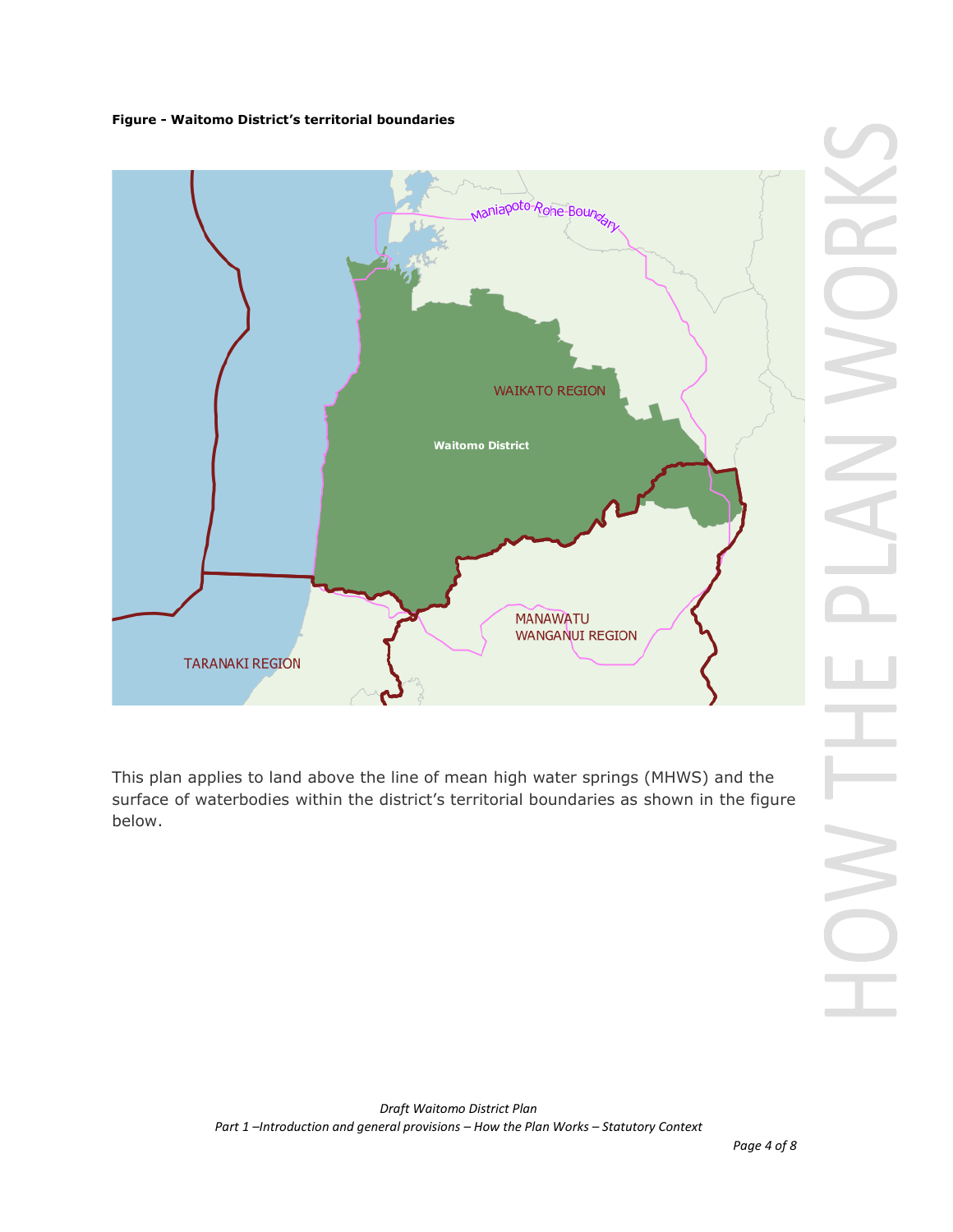#### **Figure - Waitomo District's territorial boundaries**



This plan applies to land above the line of mean high water springs (MHWS) and the surface of waterbodies within the district's territorial boundaries as shown in the figure below.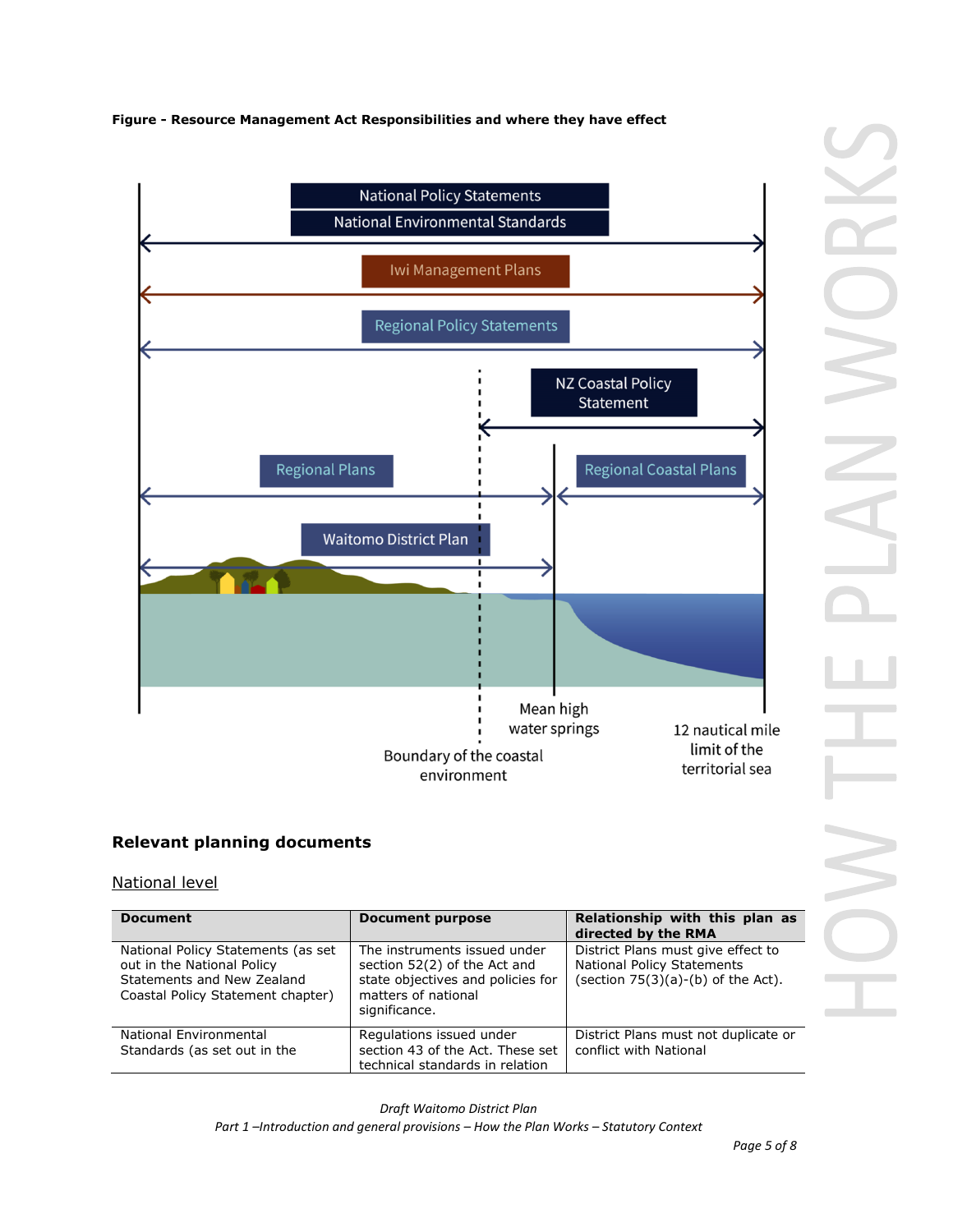#### **Figure - Resource Management Act Responsibilities and where they have effect**



## **Relevant planning documents**

#### National level

| <b>Document</b>                                                                                                                     | <b>Document purpose</b>                                                                                                                   | Relationship with this plan as<br>directed by the RMA                                                           |
|-------------------------------------------------------------------------------------------------------------------------------------|-------------------------------------------------------------------------------------------------------------------------------------------|-----------------------------------------------------------------------------------------------------------------|
| National Policy Statements (as set<br>out in the National Policy<br>Statements and New Zealand<br>Coastal Policy Statement chapter) | The instruments issued under<br>section 52(2) of the Act and<br>state objectives and policies for<br>matters of national<br>significance. | District Plans must give effect to<br><b>National Policy Statements</b><br>(section $75(3)(a)-(b)$ of the Act). |
| National Environmental<br>Standards (as set out in the                                                                              | Regulations issued under<br>section 43 of the Act. These set<br>technical standards in relation                                           | District Plans must not duplicate or<br>conflict with National                                                  |

*Draft Waitomo District Plan Part 1 –Introduction and general provisions – How the Plan Works – Statutory Context*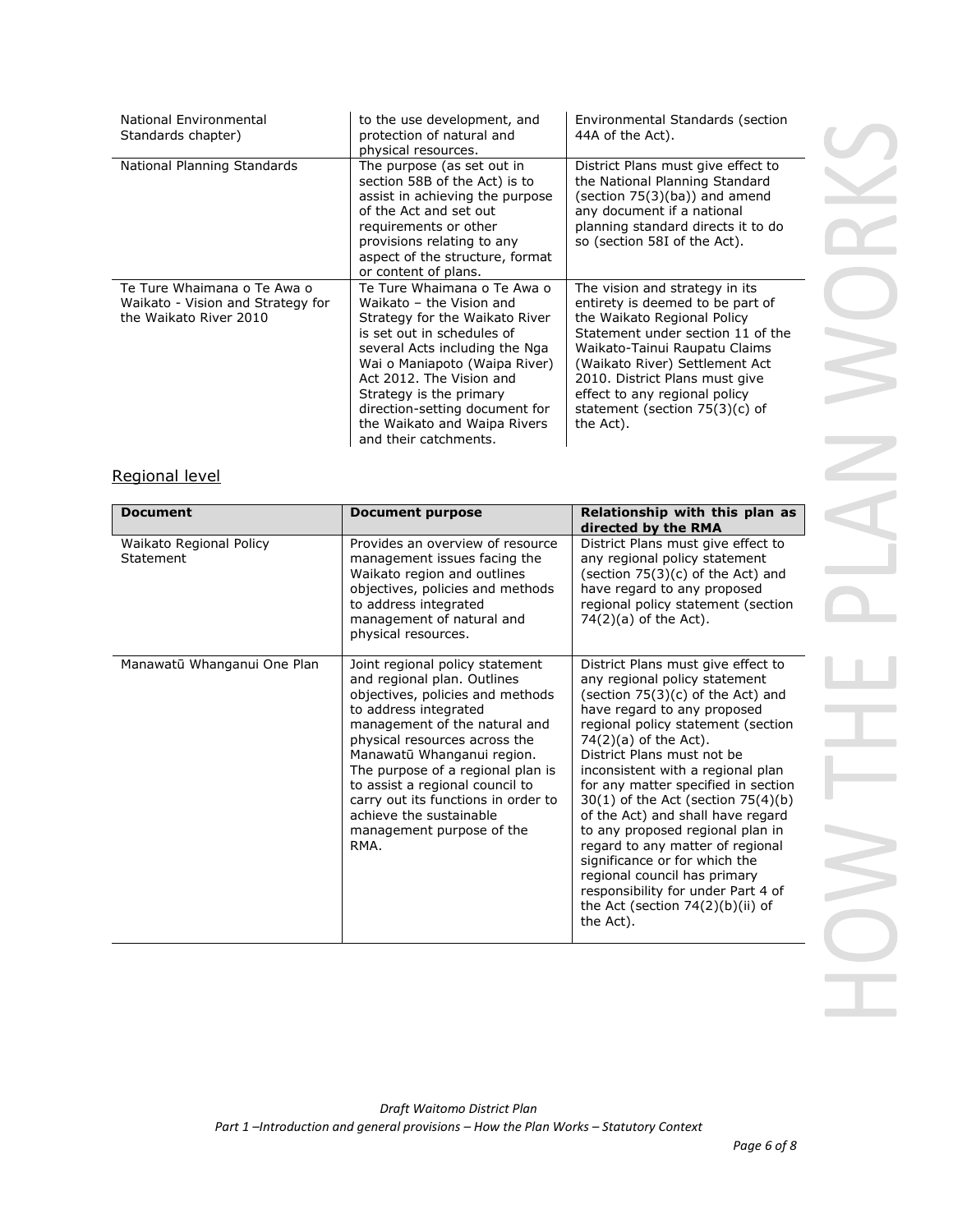| National Environmental<br>Standards chapter)                                               | to the use development, and<br>protection of natural and<br>physical resources.                                                                                                                                                                                                                                                              | Environmental Standards (section<br>44A of the Act).                                                                                                                                                                                                                                                                          |
|--------------------------------------------------------------------------------------------|----------------------------------------------------------------------------------------------------------------------------------------------------------------------------------------------------------------------------------------------------------------------------------------------------------------------------------------------|-------------------------------------------------------------------------------------------------------------------------------------------------------------------------------------------------------------------------------------------------------------------------------------------------------------------------------|
| National Planning Standards                                                                | The purpose (as set out in<br>section 58B of the Act) is to<br>assist in achieving the purpose<br>of the Act and set out<br>requirements or other<br>provisions relating to any<br>aspect of the structure, format<br>or content of plans.                                                                                                   | District Plans must give effect to<br>the National Planning Standard<br>(section $75(3)(ba)$ ) and amend<br>any document if a national<br>planning standard directs it to do<br>so (section 58I of the Act).                                                                                                                  |
| Te Ture Whaimana o Te Awa o<br>Waikato - Vision and Strategy for<br>the Waikato River 2010 | Te Ture Whaimana o Te Awa o<br>Waikato - the Vision and<br>Strategy for the Waikato River<br>is set out in schedules of<br>several Acts including the Nga<br>Wai o Maniapoto (Waipa River)<br>Act 2012. The Vision and<br>Strategy is the primary<br>direction-setting document for<br>the Waikato and Waipa Rivers<br>and their catchments. | The vision and strategy in its<br>entirety is deemed to be part of<br>the Waikato Regional Policy<br>Statement under section 11 of the<br>Waikato-Tainui Raupatu Claims<br>(Waikato River) Settlement Act<br>2010. District Plans must give<br>effect to any regional policy<br>statement (section $75(3)(c)$ of<br>the Act). |

## Regional level

| <b>Document</b>                      | <b>Document purpose</b>                                                                                                                                                                                                                                                                                                                                                                                    | Relationship with this plan as<br>directed by the RMA                                                                                                                                                                                                                                                                                                                                                                                                                                                                                                                                                                                 |
|--------------------------------------|------------------------------------------------------------------------------------------------------------------------------------------------------------------------------------------------------------------------------------------------------------------------------------------------------------------------------------------------------------------------------------------------------------|---------------------------------------------------------------------------------------------------------------------------------------------------------------------------------------------------------------------------------------------------------------------------------------------------------------------------------------------------------------------------------------------------------------------------------------------------------------------------------------------------------------------------------------------------------------------------------------------------------------------------------------|
| Waikato Regional Policy<br>Statement | Provides an overview of resource<br>management issues facing the<br>Waikato region and outlines<br>objectives, policies and methods<br>to address integrated<br>management of natural and<br>physical resources.                                                                                                                                                                                           | District Plans must give effect to<br>any regional policy statement<br>(section $75(3)(c)$ of the Act) and<br>have regard to any proposed<br>regional policy statement (section<br>$74(2)(a)$ of the Act).                                                                                                                                                                                                                                                                                                                                                                                                                            |
| Manawatū Whanganui One Plan          | Joint regional policy statement<br>and regional plan. Outlines<br>objectives, policies and methods<br>to address integrated<br>management of the natural and<br>physical resources across the<br>Manawatū Whanganui region.<br>The purpose of a regional plan is<br>to assist a regional council to<br>carry out its functions in order to<br>achieve the sustainable<br>management purpose of the<br>RMA. | District Plans must give effect to<br>any regional policy statement<br>(section $75(3)(c)$ of the Act) and<br>have regard to any proposed<br>regional policy statement (section<br>$74(2)(a)$ of the Act).<br>District Plans must not be<br>inconsistent with a regional plan<br>for any matter specified in section<br>$30(1)$ of the Act (section $75(4)(b)$<br>of the Act) and shall have regard<br>to any proposed regional plan in<br>regard to any matter of regional<br>significance or for which the<br>regional council has primary<br>responsibility for under Part 4 of<br>the Act (section $74(2)(b)(ii)$ of<br>the Act). |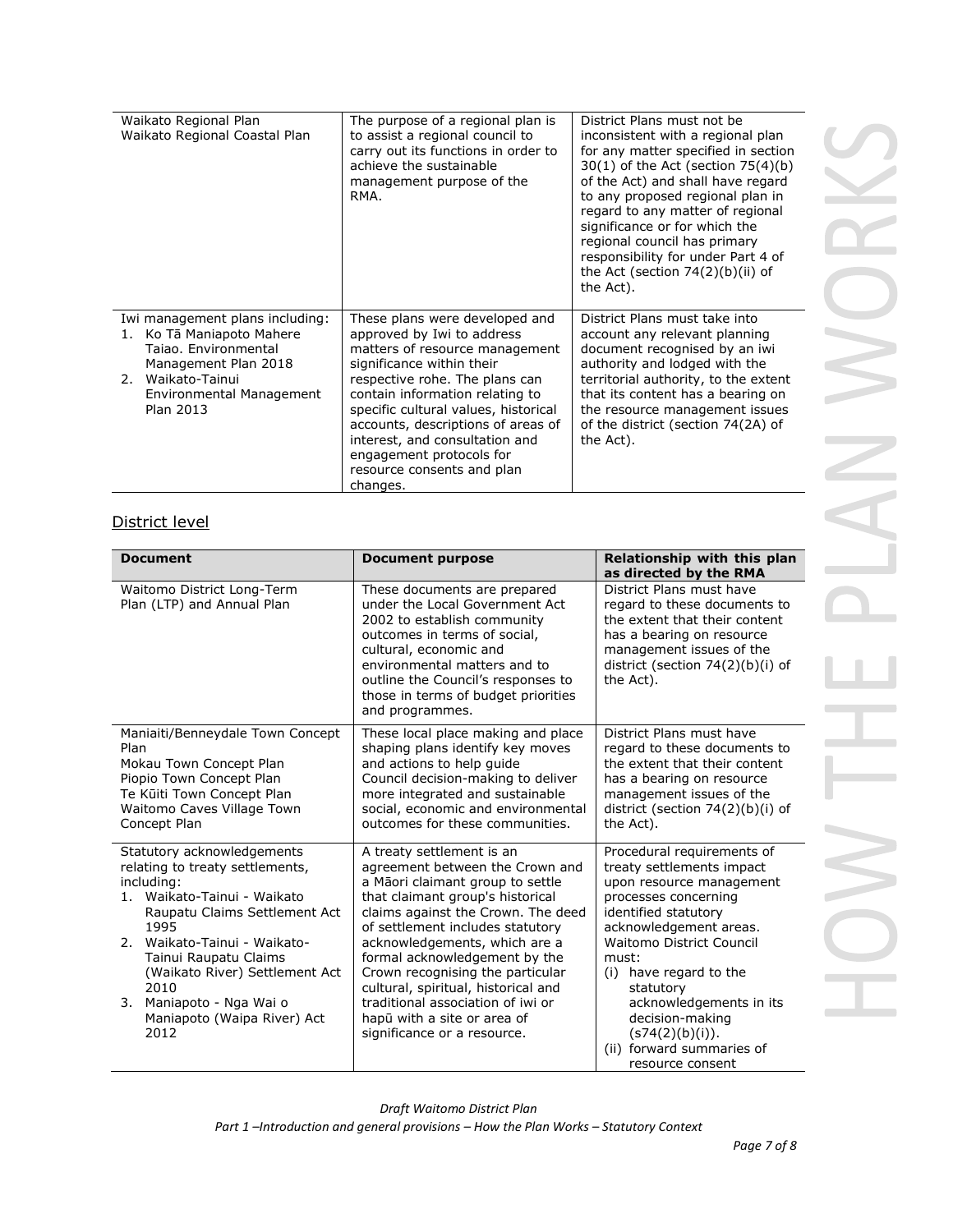| Waikato Regional Plan<br>Waikato Regional Coastal Plan                                                                                                                     | The purpose of a regional plan is<br>to assist a regional council to<br>carry out its functions in order to<br>achieve the sustainable<br>management purpose of the<br>RMA.                                                                                                                                                                                                            | District Plans must not be<br>inconsistent with a regional plan<br>for any matter specified in section<br>30(1) of the Act (section 75(4)(b)<br>of the Act) and shall have regard<br>to any proposed regional plan in<br>regard to any matter of regional<br>significance or for which the<br>regional council has primary<br>responsibility for under Part 4 of<br>the Act (section $74(2)(b)(ii)$ of<br>the Act). |
|----------------------------------------------------------------------------------------------------------------------------------------------------------------------------|----------------------------------------------------------------------------------------------------------------------------------------------------------------------------------------------------------------------------------------------------------------------------------------------------------------------------------------------------------------------------------------|---------------------------------------------------------------------------------------------------------------------------------------------------------------------------------------------------------------------------------------------------------------------------------------------------------------------------------------------------------------------------------------------------------------------|
| Iwi management plans including:<br>1. Ko Tā Maniapoto Mahere<br>Taiao. Environmental<br>Management Plan 2018<br>2. Waikato-Tainui<br>Environmental Management<br>Plan 2013 | These plans were developed and<br>approved by Iwi to address<br>matters of resource management<br>significance within their<br>respective rohe. The plans can<br>contain information relating to<br>specific cultural values, historical<br>accounts, descriptions of areas of<br>interest, and consultation and<br>engagement protocols for<br>resource consents and plan<br>changes. | District Plans must take into<br>account any relevant planning<br>document recognised by an iwi<br>authority and lodged with the<br>territorial authority, to the extent<br>that its content has a bearing on<br>the resource management issues<br>of the district (section 74(2A) of<br>the Act).                                                                                                                  |

# District level

| <b>Document</b>                                                                                                                                                                                                                                                                                                              | <b>Document purpose</b>                                                                                                                                                                                                                                                                                                                                                                                                                                        | Relationship with this plan<br>as directed by the RMA                                                                                                                                                                                                                                                                                                                 |
|------------------------------------------------------------------------------------------------------------------------------------------------------------------------------------------------------------------------------------------------------------------------------------------------------------------------------|----------------------------------------------------------------------------------------------------------------------------------------------------------------------------------------------------------------------------------------------------------------------------------------------------------------------------------------------------------------------------------------------------------------------------------------------------------------|-----------------------------------------------------------------------------------------------------------------------------------------------------------------------------------------------------------------------------------------------------------------------------------------------------------------------------------------------------------------------|
| Waitomo District Long-Term<br>Plan (LTP) and Annual Plan                                                                                                                                                                                                                                                                     | These documents are prepared<br>under the Local Government Act<br>2002 to establish community<br>outcomes in terms of social,<br>cultural, economic and<br>environmental matters and to<br>outline the Council's responses to<br>those in terms of budget priorities<br>and programmes.                                                                                                                                                                        | District Plans must have<br>regard to these documents to<br>the extent that their content<br>has a bearing on resource<br>management issues of the<br>district (section 74(2)(b)(i) of<br>the Act).                                                                                                                                                                   |
| Maniaiti/Benneydale Town Concept<br>Plan<br>Mokau Town Concept Plan<br>Piopio Town Concept Plan<br>Te Kūiti Town Concept Plan<br>Waitomo Caves Village Town<br>Concept Plan                                                                                                                                                  | These local place making and place<br>shaping plans identify key moves<br>and actions to help guide<br>Council decision-making to deliver<br>more integrated and sustainable<br>social, economic and environmental<br>outcomes for these communities.                                                                                                                                                                                                          | District Plans must have<br>regard to these documents to<br>the extent that their content<br>has a bearing on resource<br>management issues of the<br>district (section 74(2)(b)(i) of<br>the Act).                                                                                                                                                                   |
| Statutory acknowledgements<br>relating to treaty settlements,<br>including:<br>Waikato-Tainui - Waikato<br>1.<br>Raupatu Claims Settlement Act<br>1995<br>2. Waikato-Tainui - Waikato-<br>Tainui Raupatu Claims<br>(Waikato River) Settlement Act<br>2010<br>3. Maniapoto - Nga Wai o<br>Maniapoto (Waipa River) Act<br>2012 | A treaty settlement is an<br>agreement between the Crown and<br>a Māori claimant group to settle<br>that claimant group's historical<br>claims against the Crown. The deed<br>of settlement includes statutory<br>acknowledgements, which are a<br>formal acknowledgement by the<br>Crown recognising the particular<br>cultural, spiritual, historical and<br>traditional association of iwi or<br>hapū with a site or area of<br>significance or a resource. | Procedural requirements of<br>treaty settlements impact<br>upon resource management<br>processes concerning<br>identified statutory<br>acknowledgement areas.<br><b>Waitomo District Council</b><br>must:<br>have regard to the<br>(i)<br>statutory<br>acknowledgements in its<br>decision-making<br>(s74(2)(b)(i)).<br>(ii) forward summaries of<br>resource consent |

*Draft Waitomo District Plan*